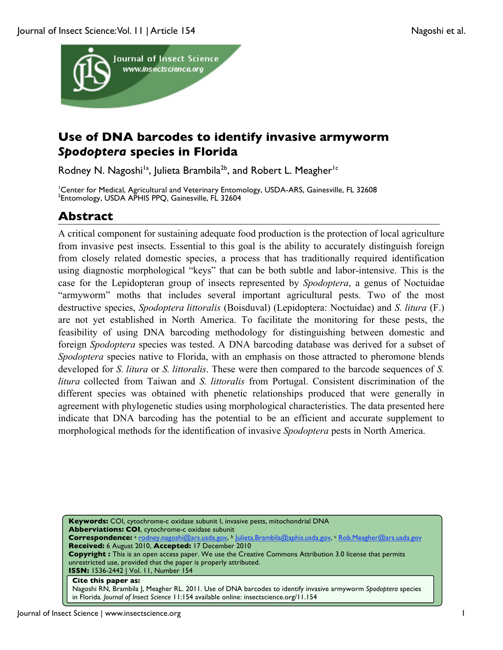

## **Use of DNA barcodes to identify invasive armyworm**  *Spodoptera* **species in Florida**

Rodney N. Nagoshi<sup>1a</sup>, Julieta Brambila<sup>2b</sup>, and Robert L. Meagher<sup>1c</sup>

<sup>1</sup>Center for Medical, Agricultural and Veterinary Entomology, USDA-ARS, Gainesville, FL 32608<br><sup>2</sup>Entomology, USDA, APHIS PPO, Gainesville, EL 32604 <sup>2</sup>Entomology, USDA APHIS PPQ, Gainesville, FL 32604

## **Abstract**

A critical component for sustaining adequate food production is the protection of local agriculture from invasive pest insects. Essential to this goal is the ability to accurately distinguish foreign from closely related domestic species, a process that has traditionally required identification using diagnostic morphological "keys" that can be both subtle and labor-intensive. This is the case for the Lepidopteran group of insects represented by *Spodoptera*, a genus of Noctuidae "armyworm" moths that includes several important agricultural pests. Two of the most destructive species, *Spodoptera littoralis* (Boisduval) (Lepidoptera: Noctuidae) and *S. litura* (F.) are not yet established in North America. To facilitate the monitoring for these pests, the feasibility of using DNA barcoding methodology for distinguishing between domestic and foreign *Spodoptera* species was tested. A DNA barcoding database was derived for a subset of *Spodoptera* species native to Florida, with an emphasis on those attracted to pheromone blends developed for *S. litura* or *S. littoralis*. These were then compared to the barcode sequences of *S. litura* collected from Taiwan and *S. littoralis* from Portugal. Consistent discrimination of the different species was obtained with phenetic relationships produced that were generally in agreement with phylogenetic studies using morphological characteristics. The data presented here indicate that DNA barcoding has the potential to be an efficient and accurate supplement to morphological methods for the identification of invasive *Spodoptera* pests in North America.

**Keywords:** COI, cytochrome-c oxidase subunit I, invasive pests, mitochondrial DNA **Abberviations: COI**, cytochrome-c oxidase subunit **Correspondence:** <sup>a</sup> rodney.nagoshi@ars.usda.gov, b Julieta.Brambila@aphis.usda.gov, c Rob.Meagher@ars.usda.gov **Received:** 6 August 2010, **Accepted:** 17 December 2010 **Copyright :** This is an open access paper. We use the Creative Commons Attribution 3.0 license that permits unrestricted use, provided that the paper is properly attributed. **ISSN:** 1536-2442 | Vol. 11, Number 154 **Cite this paper as:** Nagoshi RN, Brambila J, Meagher RL. 2011. Use of DNA barcodes to identify invasive armyworm *Spodoptera* species

in Florida*. Journal of Insect Science* 11:154 available online: insectscience.org/11.154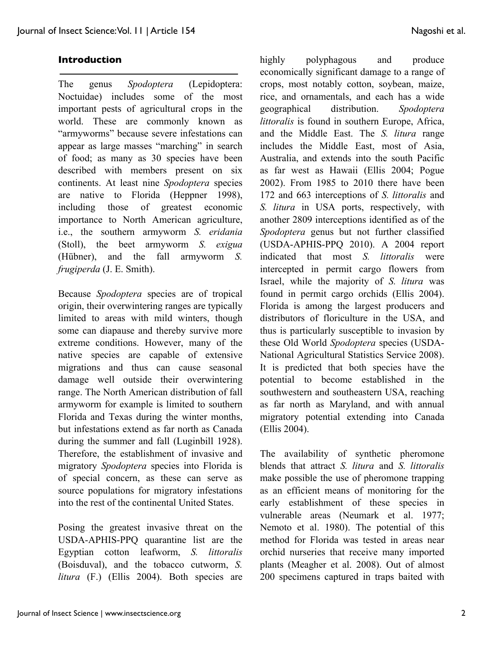#### **Introduction**

The genus *Spodoptera* (Lepidoptera: Noctuidae) includes some of the most important pests of agricultural crops in the world. These are commonly known as "armyworms" because severe infestations can appear as large masses "marching" in search of food; as many as 30 species have been described with members present on six continents. At least nine *Spodoptera* species are native to Florida (Heppner 1998), including those of greatest economic importance to North American agriculture, i.e., the southern armyworm *S. eridania* (Stoll), the beet armyworm *S. exigua* (Hübner), and the fall armyworm *S. frugiperda* (J. E. Smith).

Because *Spodoptera* species are of tropical origin, their overwintering ranges are typically limited to areas with mild winters, though some can diapause and thereby survive more extreme conditions. However, many of the native species are capable of extensive migrations and thus can cause seasonal damage well outside their overwintering range. The North American distribution of fall armyworm for example is limited to southern Florida and Texas during the winter months, but infestations extend as far north as Canada during the summer and fall (Luginbill 1928). Therefore, the establishment of invasive and migratory *Spodoptera* species into Florida is of special concern, as these can serve as source populations for migratory infestations into the rest of the continental United States.

Posing the greatest invasive threat on the USDA-APHIS-PPQ quarantine list are the Egyptian cotton leafworm, *S. littoralis* (Boisduval), and the tobacco cutworm, *S. litura* (F.) (Ellis 2004). Both species are highly polyphagous and produce economically significant damage to a range of crops, most notably cotton, soybean, maize, rice, and ornamentals, and each has a wide geographical distribution. *Spodoptera littoralis* is found in southern Europe, Africa, and the Middle East. The *S. litura* range includes the Middle East, most of Asia, Australia, and extends into the south Pacific as far west as Hawaii (Ellis 2004; Pogue 2002). From 1985 to 2010 there have been 172 and 663 interceptions of *S. littoralis* and *S. litura* in USA ports, respectively, with another 2809 interceptions identified as of the *Spodoptera* genus but not further classified (USDA-APHIS-PPQ 2010). A 2004 report indicated that most *S. littoralis* were intercepted in permit cargo flowers from Israel, while the majority of *S. litura* was found in permit cargo orchids (Ellis 2004). Florida is among the largest producers and distributors of floriculture in the USA, and thus is particularly susceptible to invasion by these Old World *Spodoptera* species (USDA-National Agricultural Statistics Service 2008). It is predicted that both species have the potential to become established in the southwestern and southeastern USA, reaching as far north as Maryland, and with annual migratory potential extending into Canada (Ellis 2004).

The availability of synthetic pheromone blends that attract *S. litura* and *S. littoralis* make possible the use of pheromone trapping as an efficient means of monitoring for the early establishment of these species in vulnerable areas (Neumark et al. 1977; Nemoto et al. 1980). The potential of this method for Florida was tested in areas near orchid nurseries that receive many imported plants (Meagher et al. 2008). Out of almost 200 specimens captured in traps baited with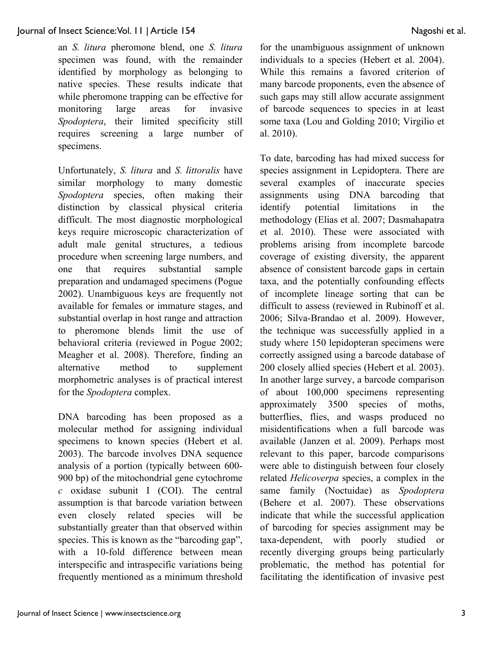#### Journal of Insect Science: Vol. 11 | Article 154 Nagoshi et al.

an *S. litura* pheromone blend, one *S. litura* specimen was found, with the remainder identified by morphology as belonging to native species. These results indicate that while pheromone trapping can be effective for monitoring large areas for invasive *Spodoptera*, their limited specificity still requires screening a large number of specimens.

Unfortunately, *S. litura* and *S. littoralis* have similar morphology to many domestic *Spodoptera* species, often making their distinction by classical physical criteria difficult. The most diagnostic morphological keys require microscopic characterization of adult male genital structures, a tedious procedure when screening large numbers, and one that requires substantial sample preparation and undamaged specimens (Pogue 2002). Unambiguous keys are frequently not available for females or immature stages, and substantial overlap in host range and attraction to pheromone blends limit the use of behavioral criteria (reviewed in Pogue 2002; Meagher et al. 2008). Therefore, finding an alternative method to supplement morphometric analyses is of practical interest for the *Spodoptera* complex.

DNA barcoding has been proposed as a molecular method for assigning individual specimens to known species (Hebert et al. 2003). The barcode involves DNA sequence analysis of a portion (typically between 600- 900 bp) of the mitochondrial gene cytochrome *c* oxidase subunit I (COI). The central assumption is that barcode variation between even closely related species will be substantially greater than that observed within species. This is known as the "barcoding gap", with a 10-fold difference between mean interspecific and intraspecific variations being frequently mentioned as a minimum threshold for the unambiguous assignment of unknown individuals to a species (Hebert et al. 2004). While this remains a favored criterion of many barcode proponents, even the absence of such gaps may still allow accurate assignment of barcode sequences to species in at least some taxa (Lou and Golding 2010; Virgilio et al. 2010).

To date, barcoding has had mixed success for species assignment in Lepidoptera. There are several examples of inaccurate species assignments using DNA barcoding that identify potential limitations in the methodology (Elias et al. 2007; Dasmahapatra et al. 2010). These were associated with problems arising from incomplete barcode coverage of existing diversity, the apparent absence of consistent barcode gaps in certain taxa, and the potentially confounding effects of incomplete lineage sorting that can be difficult to assess (reviewed in Rubinoff et al. 2006; Silva-Brandao et al. 2009). However, the technique was successfully applied in a study where 150 lepidopteran specimens were correctly assigned using a barcode database of 200 closely allied species (Hebert et al. 2003). In another large survey, a barcode comparison of about 100,000 specimens representing approximately 3500 species of moths, butterflies, flies, and wasps produced no misidentifications when a full barcode was available (Janzen et al. 2009). Perhaps most relevant to this paper, barcode comparisons were able to distinguish between four closely related *Helicoverpa* species, a complex in the same family (Noctuidae) as *Spodoptera* (Behere et al. 2007). These observations indicate that while the successful application of barcoding for species assignment may be taxa-dependent, with poorly studied or recently diverging groups being particularly problematic, the method has potential for facilitating the identification of invasive pest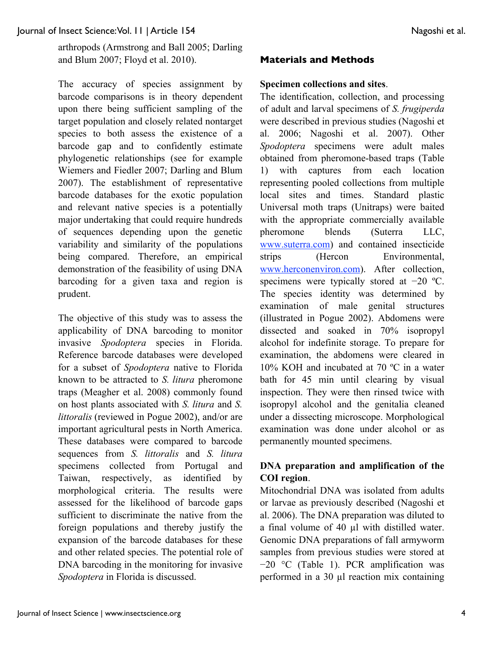arthropods (Armstrong and Ball 2005; Darling and Blum 2007; Floyd et al. 2010).

The accuracy of species assignment by barcode comparisons is in theory dependent upon there being sufficient sampling of the target population and closely related nontarget species to both assess the existence of a barcode gap and to confidently estimate phylogenetic relationships (see for example Wiemers and Fiedler 2007; Darling and Blum 2007). The establishment of representative barcode databases for the exotic population and relevant native species is a potentially major undertaking that could require hundreds of sequences depending upon the genetic variability and similarity of the populations being compared. Therefore, an empirical demonstration of the feasibility of using DNA barcoding for a given taxa and region is prudent.

The objective of this study was to assess the applicability of DNA barcoding to monitor invasive *Spodoptera* species in Florida. Reference barcode databases were developed for a subset of *Spodoptera* native to Florida known to be attracted to *S. litura* pheromone traps (Meagher et al. 2008) commonly found on host plants associated with *S. litura* and *S. littoralis* (reviewed in Pogue 2002), and/or are important agricultural pests in North America. These databases were compared to barcode sequences from *S. littoralis* and *S. litura* specimens collected from Portugal and Taiwan, respectively, as identified by morphological criteria. The results were assessed for the likelihood of barcode gaps sufficient to discriminate the native from the foreign populations and thereby justify the expansion of the barcode databases for these and other related species. The potential role of DNA barcoding in the monitoring for invasive *Spodoptera* in Florida is discussed.

## **Materials and Methods**

#### **Specimen collections and sites**.

The identification, collection, and processing of adult and larval specimens of *S. frugiperda* were described in previous studies (Nagoshi et al. 2006; Nagoshi et al. 2007). Other *Spodoptera* specimens were adult males obtained from pheromone-based traps (Table 1) with captures from each location representing pooled collections from multiple local sites and times. Standard plastic Universal moth traps (Unitraps) were baited with the appropriate commercially available pheromone blends (Suterra LLC, www.suterra.com) and contained insecticide strips (Hercon Environmental, www.herconenviron.com). After collection, specimens were typically stored at −20 °C. The species identity was determined by examination of male genital structures (illustrated in Pogue 2002). Abdomens were dissected and soaked in 70% isopropyl alcohol for indefinite storage. To prepare for examination, the abdomens were cleared in 10% KOH and incubated at 70 ºC in a water bath for 45 min until clearing by visual inspection. They were then rinsed twice with isopropyl alcohol and the genitalia cleaned under a dissecting microscope. Morphological examination was done under alcohol or as permanently mounted specimens.

## **DNA preparation and amplification of the COI region**.

Mitochondrial DNA was isolated from adults or larvae as previously described (Nagoshi et al. 2006). The DNA preparation was diluted to a final volume of 40 µl with distilled water. Genomic DNA preparations of fall armyworm samples from previous studies were stored at −20 °C (Table 1). PCR amplification was performed in a 30 µl reaction mix containing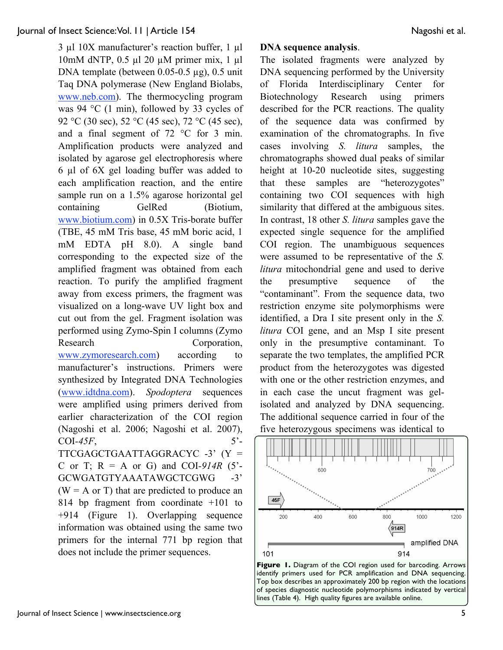#### Journal of Insect Science: Vol. 11 | Article 154 Nagoshi et al.

3 µl 10X manufacturer's reaction buffer, 1 µl 10mM dNTP, 0.5 µl 20 µM primer mix, 1 µl DNA template (between 0.05-0.5 µg), 0.5 unit Taq DNA polymerase (New England Biolabs, www.neb.com). The thermocycling program was 94 °C (1 min), followed by 33 cycles of 92 °C (30 sec), 52 °C (45 sec), 72 °C (45 sec), and a final segment of 72 °C for 3 min. Amplification products were analyzed and isolated by agarose gel electrophoresis where 6 µl of 6X gel loading buffer was added to each amplification reaction, and the entire sample run on a 1.5% agarose horizontal gel containing GelRed (Biotium, www.biotium.com) in 0.5X Tris-borate buffer (TBE, 45 mM Tris base, 45 mM boric acid, 1 mM EDTA pH 8.0). A single band corresponding to the expected size of the amplified fragment was obtained from each reaction. To purify the amplified fragment away from excess primers, the fragment was visualized on a long-wave UV light box and cut out from the gel. Fragment isolation was performed using Zymo-Spin I columns (Zymo Research Corporation, www.zymoresearch.com) according to manufacturer's instructions. Primers were synthesized by Integrated DNA Technologies (www.idtdna.com). *Spodoptera* sequences were amplified using primers derived from earlier characterization of the COI region (Nagoshi et al. 2006; Nagoshi et al. 2007),  $COI-45F$ ,  $5'$ -TTCGAGCTGAATTAGGRACYC -3' (Y = C or T;  $R = A$  or G) and COI-914R (5<sup>2</sup>-GCWGATGTYAAATAWGCTCGWG -3'  $(W = A \text{ or } T)$  that are predicted to produce an 814 bp fragment from coordinate +101 to +914 (Figure 1). Overlapping sequence information was obtained using the same two primers for the internal 771 bp region that does not include the primer sequences.

#### **DNA sequence analysis**.

The isolated fragments were analyzed by DNA sequencing performed by the University of Florida Interdisciplinary Center for Biotechnology Research using primers described for the PCR reactions. The quality of the sequence data was confirmed by examination of the chromatographs. In five cases involving *S. litura* samples, the chromatographs showed dual peaks of similar height at 10-20 nucleotide sites, suggesting that these samples are "heterozygotes" containing two COI sequences with high similarity that differed at the ambiguous sites. In contrast, 18 other *S. litura* samples gave the expected single sequence for the amplified COI region. The unambiguous sequences were assumed to be representative of the *S. litura* mitochondrial gene and used to derive the presumptive sequence of the "contaminant". From the sequence data, two restriction enzyme site polymorphisms were identified, a Dra I site present only in the *S. litura* COI gene, and an Msp I site present only in the presumptive contaminant. To separate the two templates, the amplified PCR product from the heterozygotes was digested with one or the other restriction enzymes, and in each case the uncut fragment was gelisolated and analyzed by DNA sequencing. The additional sequence carried in four of the five heterozygous specimens was identical to



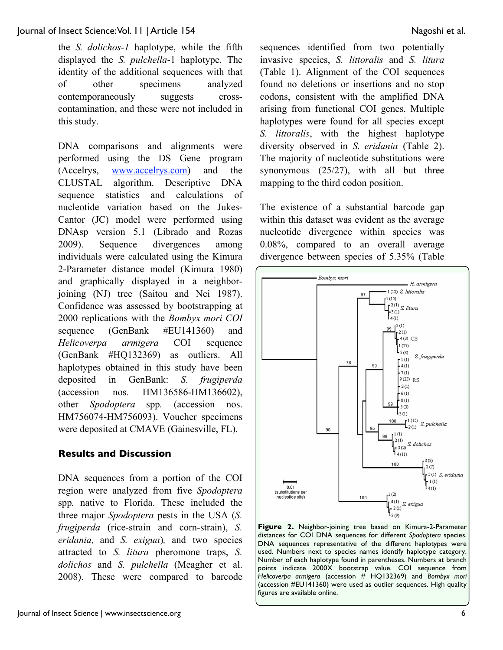the *S. dolichos-1* haplotype, while the fifth displayed the *S. pulchella*-1 haplotype. The identity of the additional sequences with that of other specimens analyzed contemporaneously suggests crosscontamination, and these were not included in this study.

DNA comparisons and alignments were performed using the DS Gene program (Accelrys, www.accelrys.com) and the CLUSTAL algorithm. Descriptive DNA sequence statistics and calculations of nucleotide variation based on the Jukes-Cantor (JC) model were performed using DNAsp version 5.1 (Librado and Rozas 2009). Sequence divergences among individuals were calculated using the Kimura 2-Parameter distance model (Kimura 1980) and graphically displayed in a neighborjoining (NJ) tree (Saitou and Nei 1987). Confidence was assessed by bootstrapping at 2000 replications with the *Bombyx mori COI* sequence (GenBank #EU141360) and *Helicoverpa armigera* COI sequence (GenBank #HQ132369) as outliers. All haplotypes obtained in this study have been deposited in GenBank: *S. frugiperda* (accession nos. HM136586-HM136602), other *Spodoptera* spp*.* (accession nos. HM756074-HM756093). Voucher specimens were deposited at CMAVE (Gainesville, FL).

## **Results and Discussion**

DNA sequences from a portion of the COI region were analyzed from five *Spodoptera* spp*.* native to Florida. These included the three major *Spodoptera* pests in the USA (*S. frugiperda* (rice-strain and corn-strain), *S. eridania,* and *S. exigua*)*,* and two species attracted to *S. litura* pheromone traps, *S. dolichos* and *S. pulchella* (Meagher et al. 2008). These were compared to barcode sequences identified from two potentially invasive species, *S. littoralis* and *S. litura* (Table 1). Alignment of the COI sequences found no deletions or insertions and no stop codons, consistent with the amplified DNA arising from functional COI genes. Multiple haplotypes were found for all species except *S. littoralis*, with the highest haplotype diversity observed in *S. eridania* (Table 2). The majority of nucleotide substitutions were synonymous (25/27), with all but three mapping to the third codon position.

The existence of a substantial barcode gap within this dataset was evident as the average nucleotide divergence within species was 0.08%, compared to an overall average divergence between species of 5.35% (Table



**Figure 2.** Neighbor-joining tree based on Kimura-2-Parameter distances for COI DNA sequences for different *Spodoptera* species. DNA sequences representative of the different haplotypes were used. Numbers next to species names identify haplotype category. Number of each haplotype found in parentheses. Numbers at branch points indicate 2000X bootstrap value. COI sequence from *Helicoverpa armigera* (accession # HQ132369) and *Bombyx mori* (accession #EU141360) were used as outlier sequences. High quality figures are available online.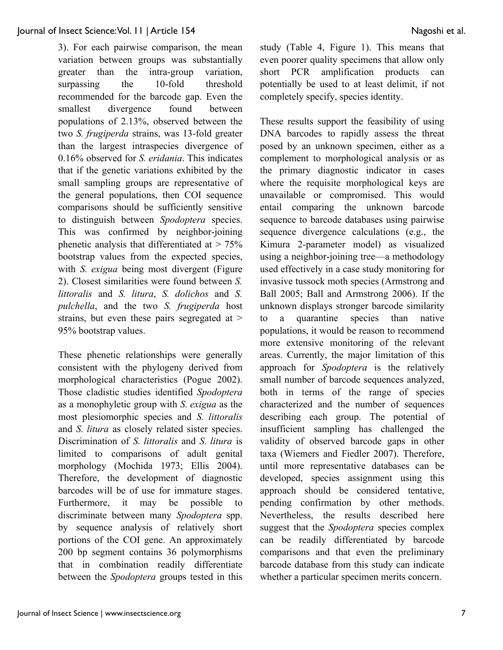3). For each pairwise comparison, the mean variation between groups was substantially greater than the intra-group variation, surpassing the 10-fold threshold recommended for the barcode gap. Even the smallest divergence found between populations of 2.13%, observed between the two *S. frugiperda* strains, was 13-fold greater than the largest intraspecies divergence of 0.16% observed for *S. eridania*. This indicates that if the genetic variations exhibited by the small sampling groups are representative of the general populations, then COI sequence comparisons should be sufficiently sensitive to distinguish between *Spodoptera* species. This was confirmed by neighbor-joining phenetic analysis that differentiated at  $> 75\%$ bootstrap values from the expected species, with *S. exigua* being most divergent (Figure 2). Closest similarities were found between *S. littoralis* and *S. litura*, *S. dolichos* and *S. pulchella*, and the two *S. frugiperda* host strains, but even these pairs segregated at > 95% bootstrap values.

These phenetic relationships were generally consistent with the phylogeny derived from morphological characteristics (Pogue 2002). Those cladistic studies identified *Spodoptera* as a monophyletic group with *S. exigua* as the most plesiomorphic species and *S. littoralis* and *S. litura* as closely related sister species. Discrimination of *S. littoralis* and *S. litura* is limited to comparisons of adult genital morphology (Mochida 1973; Ellis 2004). Therefore, the development of diagnostic barcodes will be of use for immature stages. Furthermore, it may be possible to discriminate between many *Spodoptera* spp. by sequence analysis of relatively short portions of the COI gene. An approximately 200 bp segment contains 36 polymorphisms that in combination readily differentiate between the *Spodoptera* groups tested in this study (Table 4, Figure 1). This means that even poorer quality specimens that allow only short PCR amplification products can potentially be used to at least delimit, if not completely specify, species identity.

These results support the feasibility of using DNA barcodes to rapidly assess the threat posed by an unknown specimen, either as a complement to morphological analysis or as the primary diagnostic indicator in cases where the requisite morphological keys are unavailable or compromised. This would entail comparing the unknown barcode sequence to barcode databases using pairwise sequence divergence calculations (e.g., the Kimura 2-parameter model) as visualized using a neighbor-joining tree—a methodology used effectively in a case study monitoring for invasive tussock moth species (Armstrong and Ball 2005; Ball and Armstrong 2006). If the unknown displays stronger barcode similarity to a quarantine species than native populations, it would be reason to recommend more extensive monitoring of the relevant areas. Currently, the major limitation of this approach for *Spodoptera* is the relatively small number of barcode sequences analyzed, both in terms of the range of species characterized and the number of sequences describing each group. The potential of insufficient sampling has challenged the validity of observed barcode gaps in other taxa (Wiemers and Fiedler 2007). Therefore, until more representative databases can be developed, species assignment using this approach should be considered tentative, pending confirmation by other methods. Nevertheless, the results described here suggest that the *Spodoptera* species complex can be readily differentiated by barcode comparisons and that even the preliminary barcode database from this study can indicate whether a particular specimen merits concern.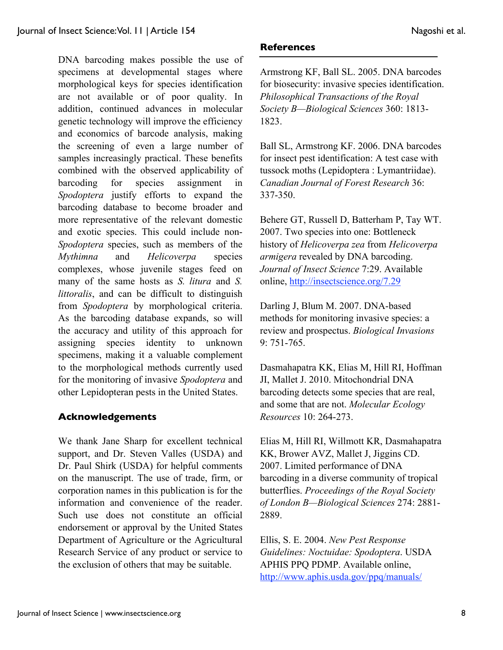DNA barcoding makes possible the use of specimens at developmental stages where morphological keys for species identification are not available or of poor quality. In addition, continued advances in molecular genetic technology will improve the efficiency and economics of barcode analysis, making the screening of even a large number of samples increasingly practical. These benefits combined with the observed applicability of barcoding for species assignment in *Spodoptera* justify efforts to expand the barcoding database to become broader and more representative of the relevant domestic and exotic species. This could include non-*Spodoptera* species, such as members of the *Mythimna* and *Helicoverpa* species complexes, whose juvenile stages feed on many of the same hosts as *S. litura* and *S. littoralis*, and can be difficult to distinguish from *Spodoptera* by morphological criteria. As the barcoding database expands, so will the accuracy and utility of this approach for assigning species identity to unknown specimens, making it a valuable complement to the morphological methods currently used for the monitoring of invasive *Spodoptera* and other Lepidopteran pests in the United States.

## **Acknowledgements**

We thank Jane Sharp for excellent technical support, and Dr. Steven Valles (USDA) and Dr. Paul Shirk (USDA) for helpful comments on the manuscript. The use of trade, firm, or corporation names in this publication is for the information and convenience of the reader. Such use does not constitute an official endorsement or approval by the United States Department of Agriculture or the Agricultural Research Service of any product or service to the exclusion of others that may be suitable.

#### **References**

Armstrong KF, Ball SL. 2005. DNA barcodes for biosecurity: invasive species identification. *Philosophical Transactions of the Royal Society B—Biological Sciences* 360: 1813- 1823.

Ball SL, Armstrong KF. 2006. DNA barcodes for insect pest identification: A test case with tussock moths (Lepidoptera : Lymantriidae). *Canadian Journal of Forest Research* 36: 337-350.

Behere GT, Russell D, Batterham P, Tay WT. 2007. Two species into one: Bottleneck history of *Helicoverpa zea* from *Helicoverpa armigera* revealed by DNA barcoding. *Journal of Insect Science* 7:29. Available online, http://insectscience.org/7.29

Darling J, Blum M. 2007. DNA-based methods for monitoring invasive species: a review and prospectus. *Biological Invasions* 9: 751-765.

Dasmahapatra KK, Elias M, Hill RI, Hoffman JI, Mallet J. 2010. Mitochondrial DNA barcoding detects some species that are real, and some that are not. *Molecular Ecology Resources* 10: 264-273.

Elias M, Hill RI, Willmott KR, Dasmahapatra KK, Brower AVZ, Mallet J, Jiggins CD. 2007. Limited performance of DNA barcoding in a diverse community of tropical butterflies. *Proceedings of the Royal Society of London B—Biological Sciences* 274: 2881- 2889.

Ellis, S. E. 2004. *New Pest Response Guidelines: Noctuidae: Spodoptera*. USDA APHIS PPQ PDMP. Available online, http://www.aphis.usda.gov/ppq/manuals/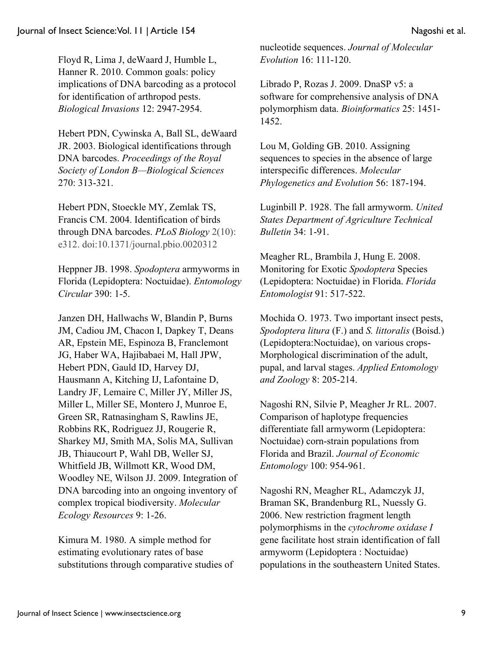Floyd R, Lima J, deWaard J, Humble L, Hanner R. 2010. Common goals: policy implications of DNA barcoding as a protocol for identification of arthropod pests. *Biological Invasions* 12: 2947-2954.

Hebert PDN, Cywinska A, Ball SL, deWaard JR. 2003. Biological identifications through DNA barcodes. *Proceedings of the Royal Society of London B—Biological Sciences* 270: 313-321.

Hebert PDN, Stoeckle MY, Zemlak TS, Francis CM. 2004. Identification of birds through DNA barcodes. *PLoS Biology* 2(10): e312. doi:10.1371/journal.pbio.0020312

Heppner JB. 1998. *Spodoptera* armyworms in Florida (Lepidoptera: Noctuidae). *Entomology Circular* 390: 1-5.

Janzen DH, Hallwachs W, Blandin P, Burns JM, Cadiou JM, Chacon I, Dapkey T, Deans AR, Epstein ME, Espinoza B, Franclemont JG, Haber WA, Hajibabaei M, Hall JPW, Hebert PDN, Gauld ID, Harvey DJ, Hausmann A, Kitching IJ, Lafontaine D, Landry JF, Lemaire C, Miller JY, Miller JS, Miller L, Miller SE, Montero J, Munroe E, Green SR, Ratnasingham S, Rawlins JE, Robbins RK, Rodriguez JJ, Rougerie R, Sharkey MJ, Smith MA, Solis MA, Sullivan JB, Thiaucourt P, Wahl DB, Weller SJ, Whitfield JB, Willmott KR, Wood DM, Woodley NE, Wilson JJ. 2009. Integration of DNA barcoding into an ongoing inventory of complex tropical biodiversity. *Molecular Ecology Resources* 9: 1-26.

Kimura M. 1980. A simple method for estimating evolutionary rates of base substitutions through comparative studies of nucleotide sequences. *Journal of Molecular Evolution* 16: 111-120.

Librado P, Rozas J. 2009. DnaSP v5: a software for comprehensive analysis of DNA polymorphism data. *Bioinformatics* 25: 1451- 1452.

Lou M, Golding GB. 2010. Assigning sequences to species in the absence of large interspecific differences. *Molecular Phylogenetics and Evolution* 56: 187-194.

Luginbill P. 1928. The fall armyworm. *United States Department of Agriculture Technical Bulletin* 34: 1-91.

Meagher RL, Brambila J, Hung E. 2008. Monitoring for Exotic *Spodoptera* Species (Lepidoptera: Noctuidae) in Florida. *Florida Entomologist* 91: 517-522.

Mochida O. 1973. Two important insect pests, *Spodoptera litura* (F.) and *S. littoralis* (Boisd.) (Lepidoptera:Noctuidae), on various crops-Morphological discrimination of the adult, pupal, and larval stages. *Applied Entomology and Zoology* 8: 205-214.

Nagoshi RN, Silvie P, Meagher Jr RL. 2007. Comparison of haplotype frequencies differentiate fall armyworm (Lepidoptera: Noctuidae) corn-strain populations from Florida and Brazil. *Journal of Economic Entomology* 100: 954-961.

Nagoshi RN, Meagher RL, Adamczyk JJ, Braman SK, Brandenburg RL, Nuessly G. 2006. New restriction fragment length polymorphisms in the *cytochrome oxidase I*  gene facilitate host strain identification of fall armyworm (Lepidoptera : Noctuidae) populations in the southeastern United States.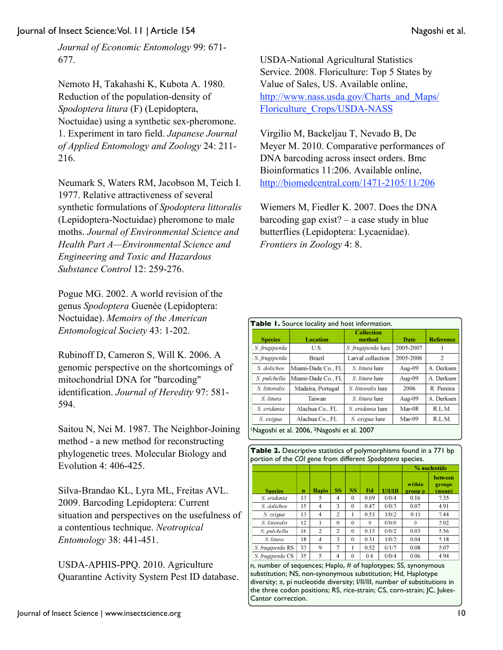Journal of Insect Science: Vol. 11 | Article 154 Nagoshi et al.

*Journal of Economic Entomology* 99: 671- 677.

Nemoto H, Takahashi K, Kubota A. 1980. Reduction of the population-density of *Spodoptera litura* (F) (Lepidoptera, Noctuidae) using a synthetic sex-pheromone. 1. Experiment in taro field. *Japanese Journal of Applied Entomology and Zoology* 24: 211- 216.

Neumark S, Waters RM, Jacobson M, Teich I. 1977. Relative attractiveness of several synthetic formulations of *Spodoptera littoralis* (Lepidoptera-Noctuidae) pheromone to male moths. *Journal of Environmental Science and Health Part A—Environmental Science and Engineering and Toxic and Hazardous Substance Control* 12: 259-276.

Pogue MG. 2002. A world revision of the genus *Spodoptera* Guenée (Lepidoptera: Noctuidae). *Memoirs of the American Entomological Society* 43: 1-202.

Rubinoff D, Cameron S, Will K. 2006. A genomic perspective on the shortcomings of mitochondrial DNA for "barcoding" identification. *Journal of Heredity* 97: 581- 594.

Saitou N, Nei M. 1987. The Neighbor-Joining method - a new method for reconstructing phylogenetic trees. Molecular Biology and Evolution 4: 406-425.

Silva-Brandao KL, Lyra ML, Freitas AVL. 2009. Barcoding Lepidoptera: Current situation and perspectives on the usefulness of a contentious technique. *Neotropical Entomology* 38: 441-451.

USDA-APHIS-PPQ. 2010. Agriculture Quarantine Activity System Pest ID database. USDA-National Agricultural Statistics Service. 2008. Floriculture: Top 5 States by Value of Sales, US. Available online, http://www.nass.usda.gov/Charts\_and\_Maps/ Floriculture\_Crops/USDA-NASS

Virgilio M, Backeljau T, Nevado B, De Meyer M. 2010. Comparative performances of DNA barcoding across insect orders. Bmc Bioinformatics 11:206. Available online, http://biomedcentral.com/1471-2105/11/206

Wiemers M, Fiedler K. 2007. Does the DNA barcoding gap exist? – a case study in blue butterflies (Lepidoptera: Lycaenidae). *Frontiers in Zoology* 4: 8.

| <b>Species</b> | <b>Location</b>    | <b>Collection</b><br>method | Date      | <b>Reference</b> |
|----------------|--------------------|-----------------------------|-----------|------------------|
| S. frugiperda  | U.S.               | S. frugiperda lure          | 2005-2007 |                  |
| S. frugiperda  | <b>Brazil</b>      | Larval collection           | 2005-2006 | 2                |
| S. dolichos    | Miami-Dade Co., FL | S. litura lure              | Aug-09    | A. Derksen       |
| S. pulchella   | Miami-Dade Co., FL | S. litura lure              | Aug-09    | A. Derksen       |
| S. littoralis  | Madeira, Portugal  | S. littoralis lure          | 2006      | R. Pereira       |
| S. litura      | Taiwan             | S. litura lure              | Aug-09    | A. Derksen       |
| S. eridania    | Alachua Co., FL    | S. eridania lure            | Mar-08    | R.L.M.           |
| S. exigua      | Alachua Co., FL    | S. exigua lure              | Mar-09    | R.L.M.           |

1Nagoshi et al. 2006, 2Nagoshi et al. 2007

| <b>Table 2.</b> Descriptive statistics of polymorphisms found in a 771 bp |  |
|---------------------------------------------------------------------------|--|
| portion of the COI gene from different Spodoptera species.                |  |

|                  |    |       |          |           |      |               | % nucleotide      |                             |  |
|------------------|----|-------|----------|-----------|------|---------------|-------------------|-----------------------------|--|
| <b>Species</b>   | n  | Haplo | SS       | <b>NS</b> | Hd   | <b>VIVIII</b> | within<br>group p | between<br>groups<br>(mean) |  |
| S. eridania      | 13 | 5     | 4        | $\theta$  | 0.69 | 0/0/4         | 0.16              | 7.35                        |  |
| S. dolichos      | 15 | 4     | 3        | $\theta$  | 0.47 | 0/0/3         | 0.07              | 4.91                        |  |
| S. exigua        | 13 | 4     | 2        |           | 0.53 | 1/0/2         | 0.11              | 7.44                        |  |
| S. littoralis    | 12 |       | $\theta$ | $\theta$  | 0    | 0/0/0         | $\Omega$          | 5.02                        |  |
| S. pulchella     | 16 | 2     | 2        | $\Omega$  | 0.13 | 0/0/2         | 0.03              | 5.56                        |  |
| S. litura        | 18 | 4     | 3        | $\Omega$  | 0.31 | 1/0/2         | 0.04              | 5.18                        |  |
| S. frugiperda RS | 33 | 9     | 7        |           | 0.52 | 0/1/7         | 0.08              | 5.07                        |  |
| S. frugiperda CS | 35 | 5     | 4        | $\Omega$  | 0.4  | 0/0/4         | 0.06              | 4.94                        |  |

n, number of sequences; Haplo, # of haplotypes; SS, synonymous substitution; NS, non-synonymous substitution; Hd, Haplotype diversity; π, pi nucleotide diversity; I/II/III, number of substitutions in the three codon positions; RS, rice-strain; CS, corn-strain; JC, Jukes-Cantor correction.